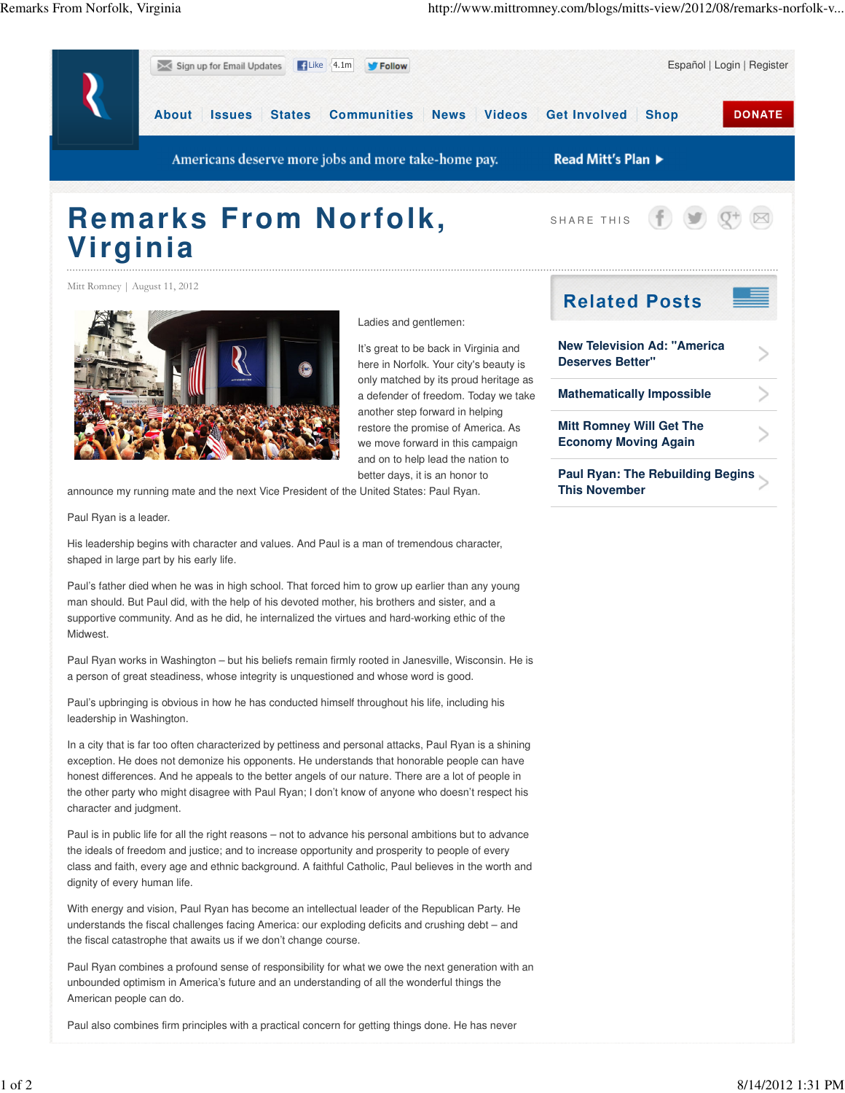

shaped in large part by his early life.

Paul's father died when he was in high school. That forced him to grow up earlier than any young man should. But Paul did, with the help of his devoted mother, his brothers and sister, and a supportive community. And as he did, he internalized the virtues and hard-working ethic of the Midwest.

Paul Ryan works in Washington – but his beliefs remain firmly rooted in Janesville, Wisconsin. He is a person of great steadiness, whose integrity is unquestioned and whose word is good.

Paul's upbringing is obvious in how he has conducted himself throughout his life, including his leadership in Washington.

In a city that is far too often characterized by pettiness and personal attacks, Paul Ryan is a shining exception. He does not demonize his opponents. He understands that honorable people can have honest differences. And he appeals to the better angels of our nature. There are a lot of people in the other party who might disagree with Paul Ryan; I don't know of anyone who doesn't respect his character and judgment.

Paul is in public life for all the right reasons – not to advance his personal ambitions but to advance the ideals of freedom and justice; and to increase opportunity and prosperity to people of every class and faith, every age and ethnic background. A faithful Catholic, Paul believes in the worth and dignity of every human life.

With energy and vision, Paul Ryan has become an intellectual leader of the Republican Party. He understands the fiscal challenges facing America: our exploding deficits and crushing debt – and the fiscal catastrophe that awaits us if we don't change course.

Paul Ryan combines a profound sense of responsibility for what we owe the next generation with an unbounded optimism in America's future and an understanding of all the wonderful things the American people can do.

Paul also combines firm principles with a practical concern for getting things done. He has never